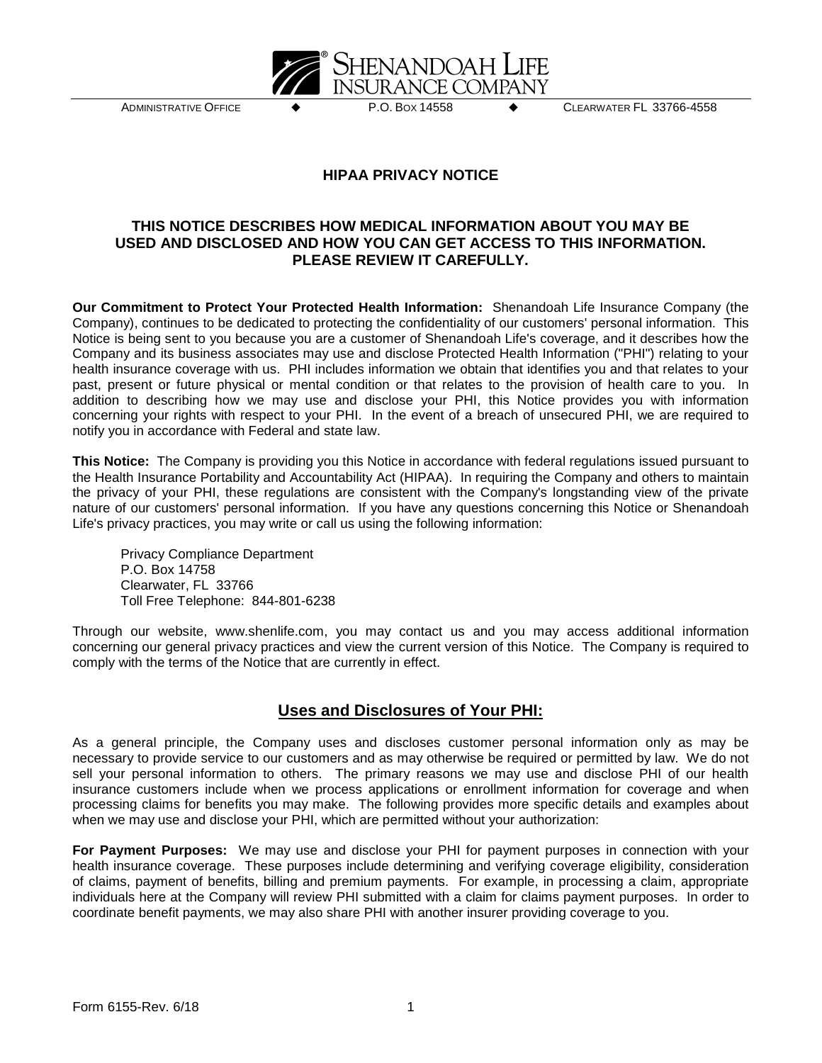

ADMINISTRATIVE OFFICE P.O. BOX 14558 CLEARWATER FL 33766-4558

## **HIPAA PRIVACY NOTICE**

## **THIS NOTICE DESCRIBES HOW MEDICAL INFORMATION ABOUT YOU MAY BE USED AND DISCLOSED AND HOW YOU CAN GET ACCESS TO THIS INFORMATION. PLEASE REVIEW IT CAREFULLY.**

**Our Commitment to Protect Your Protected Health Information:** Shenandoah Life Insurance Company (the Company), continues to be dedicated to protecting the confidentiality of our customers' personal information. This Notice is being sent to you because you are a customer of Shenandoah Life's coverage, and it describes how the Company and its business associates may use and disclose Protected Health Information ("PHI") relating to your health insurance coverage with us. PHI includes information we obtain that identifies you and that relates to your past, present or future physical or mental condition or that relates to the provision of health care to you. In addition to describing how we may use and disclose your PHI, this Notice provides you with information concerning your rights with respect to your PHI. In the event of a breach of unsecured PHI, we are required to notify you in accordance with Federal and state law.

**This Notice:** The Company is providing you this Notice in accordance with federal regulations issued pursuant to the Health Insurance Portability and Accountability Act (HIPAA). In requiring the Company and others to maintain the privacy of your PHI, these regulations are consistent with the Company's longstanding view of the private nature of our customers' personal information. If you have any questions concerning this Notice or Shenandoah Life's privacy practices, you may write or call us using the following information:

Privacy Compliance Department P.O. Box 14758 Clearwater, FL 33766 Toll Free Telephone: 844-801-6238

Through our website, www.shenlife.com, you may contact us and you may access additional information concerning our general privacy practices and view the current version of this Notice. The Company is required to comply with the terms of the Notice that are currently in effect.

## **Uses and Disclosures of Your PHI:**

As a general principle, the Company uses and discloses customer personal information only as may be necessary to provide service to our customers and as may otherwise be required or permitted by law. We do not sell your personal information to others. The primary reasons we may use and disclose PHI of our health insurance customers include when we process applications or enrollment information for coverage and when processing claims for benefits you may make. The following provides more specific details and examples about when we may use and disclose your PHI, which are permitted without your authorization:

**For Payment Purposes:** We may use and disclose your PHI for payment purposes in connection with your health insurance coverage. These purposes include determining and verifying coverage eligibility, consideration of claims, payment of benefits, billing and premium payments. For example, in processing a claim, appropriate individuals here at the Company will review PHI submitted with a claim for claims payment purposes. In order to coordinate benefit payments, we may also share PHI with another insurer providing coverage to you.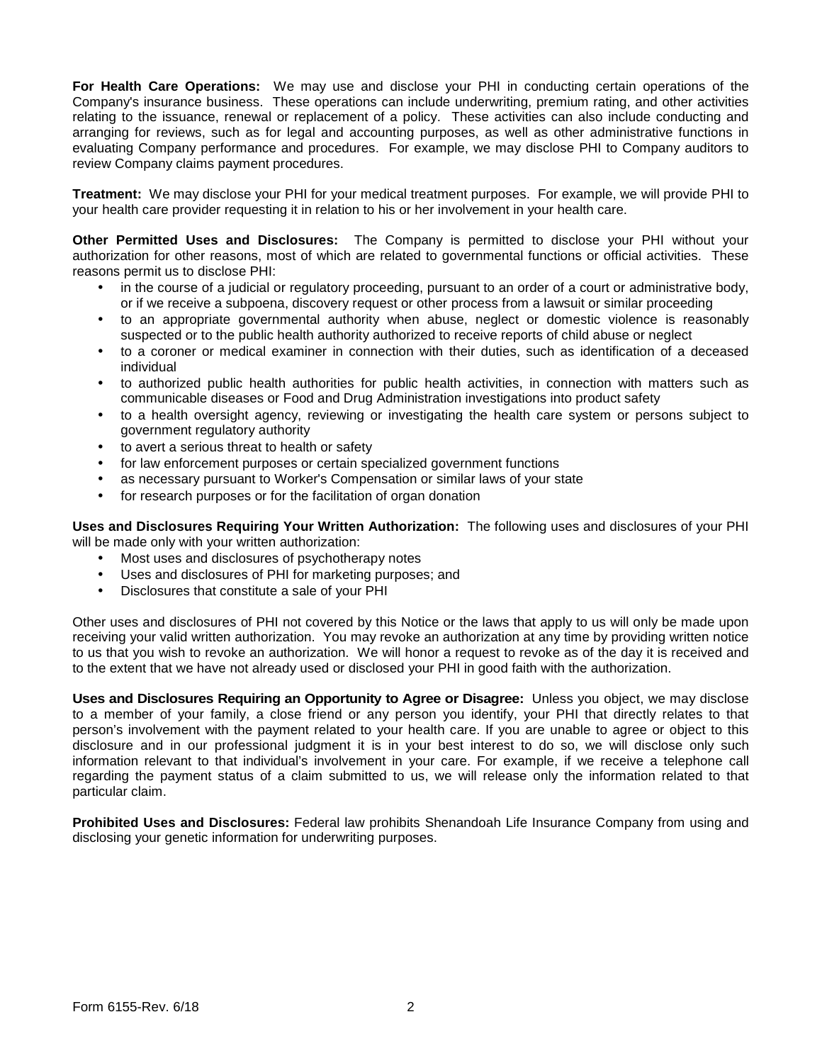**For Health Care Operations:** We may use and disclose your PHI in conducting certain operations of the Company's insurance business. These operations can include underwriting, premium rating, and other activities relating to the issuance, renewal or replacement of a policy. These activities can also include conducting and arranging for reviews, such as for legal and accounting purposes, as well as other administrative functions in evaluating Company performance and procedures. For example, we may disclose PHI to Company auditors to review Company claims payment procedures.

**Treatment:** We may disclose your PHI for your medical treatment purposes. For example, we will provide PHI to your health care provider requesting it in relation to his or her involvement in your health care.

**Other Permitted Uses and Disclosures:** The Company is permitted to disclose your PHI without your authorization for other reasons, most of which are related to governmental functions or official activities. These reasons permit us to disclose PHI:

- in the course of a judicial or regulatory proceeding, pursuant to an order of a court or administrative body, or if we receive a subpoena, discovery request or other process from a lawsuit or similar proceeding
- to an appropriate governmental authority when abuse, neglect or domestic violence is reasonably suspected or to the public health authority authorized to receive reports of child abuse or neglect
- to a coroner or medical examiner in connection with their duties, such as identification of a deceased individual
- to authorized public health authorities for public health activities, in connection with matters such as communicable diseases or Food and Drug Administration investigations into product safety
- to a health oversight agency, reviewing or investigating the health care system or persons subject to government regulatory authority
- to avert a serious threat to health or safety
- for law enforcement purposes or certain specialized government functions
- as necessary pursuant to Worker's Compensation or similar laws of your state
- for research purposes or for the facilitation of organ donation

**Uses and Disclosures Requiring Your Written Authorization:** The following uses and disclosures of your PHI will be made only with your written authorization:

- Most uses and disclosures of psychotherapy notes
- Uses and disclosures of PHI for marketing purposes; and
- Disclosures that constitute a sale of your PHI

Other uses and disclosures of PHI not covered by this Notice or the laws that apply to us will only be made upon receiving your valid written authorization. You may revoke an authorization at any time by providing written notice to us that you wish to revoke an authorization. We will honor a request to revoke as of the day it is received and to the extent that we have not already used or disclosed your PHI in good faith with the authorization.

**Uses and Disclosures Requiring an Opportunity to Agree or Disagree:** Unless you object, we may disclose to a member of your family, a close friend or any person you identify, your PHI that directly relates to that person's involvement with the payment related to your health care. If you are unable to agree or object to this disclosure and in our professional judgment it is in your best interest to do so, we will disclose only such information relevant to that individual's involvement in your care. For example, if we receive a telephone call regarding the payment status of a claim submitted to us, we will release only the information related to that particular claim.

**Prohibited Uses and Disclosures:** Federal law prohibits Shenandoah Life Insurance Company from using and disclosing your genetic information for underwriting purposes.